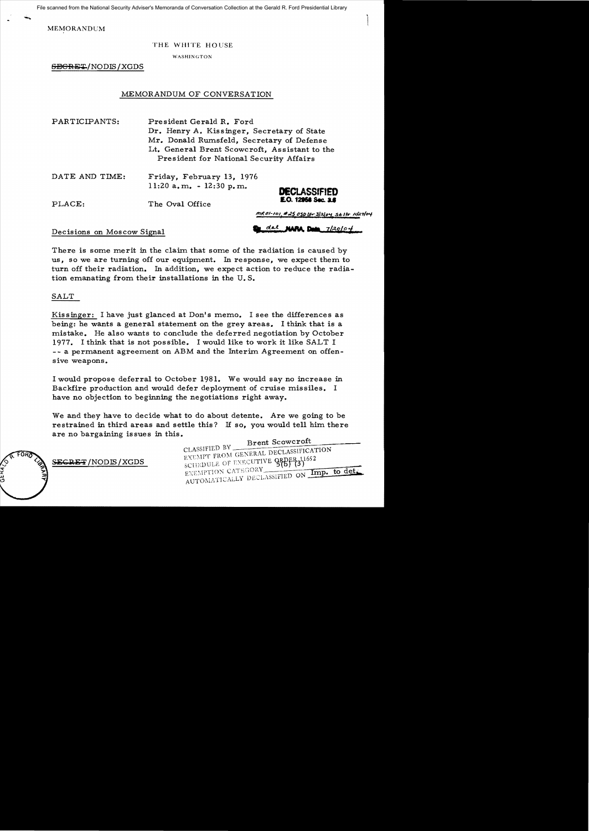File scanned from the National Security Adviser's Memoranda of Conversation Collection at the Gerald R. Ford Presidential Library

MEMORANDUM

#### THE WHITE HOUSE

WASHINGTON

6BGFlE~/NODIS /XGDS

## MEMORANDUM OF CONVERSATION

| PARTICIPANTS: | President Gerald R. Ford                      |  |
|---------------|-----------------------------------------------|--|
|               | Dr. Henry A. Kissinger, Secretary of State    |  |
|               | Mr. Donald Rumsfeld, Secretary of Defense     |  |
|               | Lt. General Brent Scowcroft, Assistant to the |  |
|               | President for National Security Affairs       |  |
|               |                                               |  |

| DATE AND TIME: | Friday, February 13, 1976  |                     |
|----------------|----------------------------|---------------------|
|                | $11:20$ a.m. $-12:30$ p.m. | <b>DECLASSIFIED</b> |

PLACE: The Oval Office **E.0. 12956 Sec. 2.6** 

dal NARA Data 7/20104

mROI-101 #25 050 Ltr 3/2/04 SEItr 11/27/04

## Decisions on Moscow Signal

There is some merit in the claim that some of the radiation is caused by us, so we are turning off our equipment. In response, we expect them to turn off their radiation. In addition, we expect action to reduce the radiation emanating from their installations in the U. S.

# SALT

Kis singer: I have just glanced at Don's memo. I see the differences as being: he wants a general statement on the grey areas. I think that is a mistake. He also wants to conclude the deferred negotiation by October 1977. I think that is not possible. I would like to work it like SALT I - - a permanent agreement on ABM and the Interim Agreement on offensive weapons.

I would propose deferral to October 1981. We would say no increase in Backfire production and would defer deployment of cruise missiles. I have no objection to beginning the negotiations right away.

We and they have to decide what to do about detente. Are we going to be restrained in third areas and settle this? If so, you would tell him there are no bargaining issues in this.

Brent Scowcroft CLASSIFIED BY CENTERAL DECLASSIFICATION  $EXEMPT$  FROM GENERIE  $P$  –  $\sim$   $P$  DDFR 11652 SECRET/NODIS/XGDS SCHEDULE OF EXECUTIVE GRBE<br>
FXEMPTION CATEGORY EXEMPTION CATEGORY 5(b) 10) Imp. to det. ''''"''Oi\'!'r'I'''''' LV D£CLASS1FlED ON \_...:~:c......;;:.;;..-~ AUT ['1, ,-",1\_ 1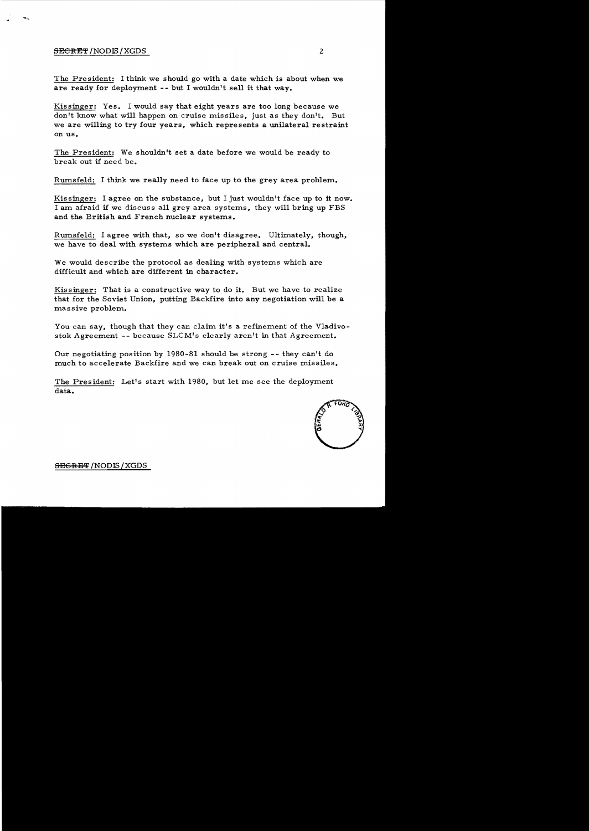#### SECRET/NODIS/XGDS 2

The President: I think we should go with a date which is about when we are ready for deployment -- but I wouldn't sell it that way.

Kissinger: Yes. I would say that eight years are too long because we don't know what will happen on cruise missiles, just as they don't. But we are willing to try four years, which represents a unilateral restraint on us.

The President: We shouldn't set a date before we would be ready to break out if need be.

Rumsfe1d: I think we really need to face up to the grey area problem.

Kissinger: I agree on the substance, but I just wouldn't face up to it now. I am afraid if we discuss all grey area systems, they will bring up FBS and the British and French nuclear systems.

Rumsfe1d: I agree with that, so we don't disagree. Ultimately, though, we have to deal with systems which are peripheral and central.

We would describe the protocol as dealing with systems which are difficult and which are different in character.

Kissinger: That is a constructive way to do it. But we have to realize that for the Soviet Union, putting Backfire into any negotiation will be a massive problem.

You can say, though that they can claim it's a refinement of the Vladivostok Agreement **--** because SLCM's clearly aren't in that Agreement.

Our negotiating position by 1980-81 should be strong -- they can't do much to accelerate Backfire and we can break out on cruise missiles.

The President: Let's start with 1980, but let me see the deployment data.



<del>SEGRET</del> /NODIS / XGDS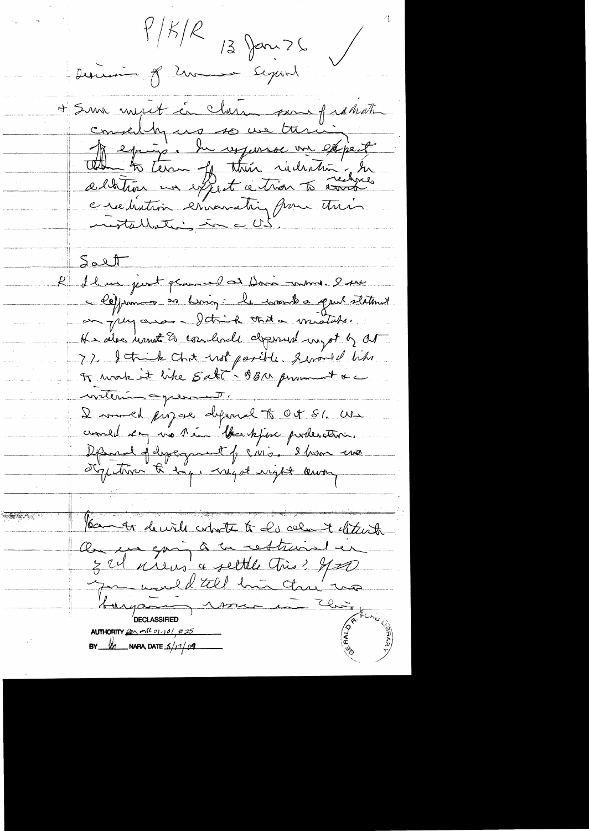$\frac{1}{2}$  $13$  Jan  $26$  $\sqrt{2}$ Descenir of Zumen Segard + Som must in clare som frahat conseillez no so un tirin<br>Depuise la repense un expect e recliation ernematri pour trois Salt Rue de la prot grand de Davis une 200 a leffrances as hiving: le montre quil statment en plus aver - Itaik that a mistate. He also want to conclude depended myst by out 77 Jetick chit ust parite general like writering operant. I morel propose defend to Oct SI. We countil 2mg vo 1 ém 1 face kjere portes ativ. Defend of dystrogenet of CNI. I have two styptime to boy, myst ught away **AND 2000** You to decide what to do cellent letterste Ou en qui à la restraine en myan rome **DECLASSIFIED** AUTHORITY  $22 mR$   $01 - 101 + 25$ BY  $M$  NARA, DATE  $\frac{s}{1200}$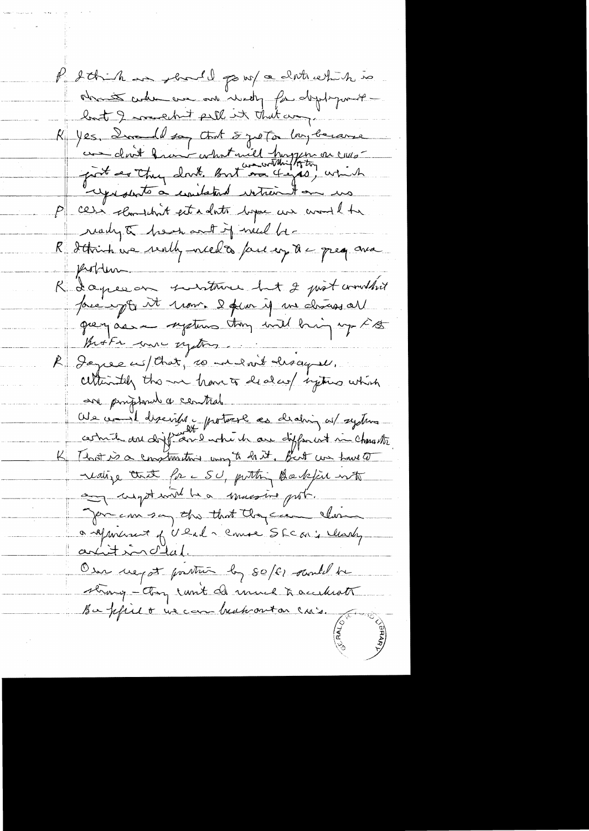P d'Anche me should pour ce dont certain mo obsente culier and and investy for deptyment lost I wouldn't fall it that any K yes, Incell say tout 5 yet on long became com dont franc what will happen on cusrepresents a constatint intrement on us P cesi clamitant estadato bopa un comme de ready & heat and if need be-R detroit we really niced to face up to a great and problem R Lapeeon surtour but 2 just commit prénant moir. 2 pour il me charges al grey as a system they will high up FB Broth me oftens R Dayree us/that, 10 me evit descripte. cettementely the me have to deal cup injuries which are prosphored a central We come it discribes protect as dealing as systems. certain and difference when he are different in character That is a construction way to hart, But we have to nealize that for a SU, putting Backfiel with anything the mussive port. You can say the that they can alone a apportence of URAL, course SECAL; leady artition d'état. User uegot portun by soff santel be strong - they can't do much to accelerate Ba pfilo in can beatrout on cas.